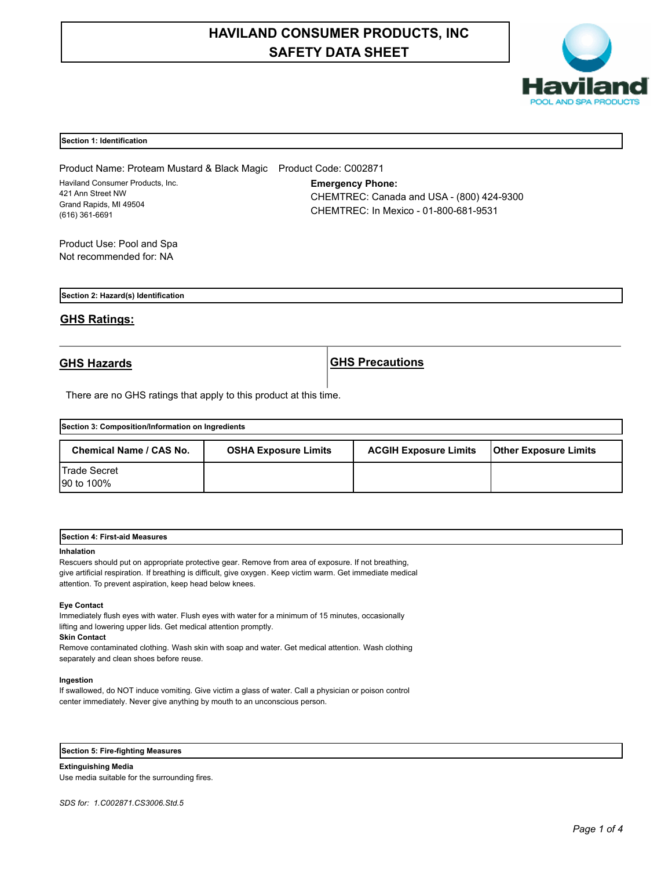# **HAVILAND CONSUMER PRODUCTS, INC SAFETY DATA SHEET**



# **Section 1: Identification**

Product Name: Proteam Mustard & Black Magic Product Code: C002871 Haviland Consumer Products, Inc. 421 Ann Street NW Grand Rapids, MI 49504 (616) 361-6691

**Emergency Phone:** CHEMTREC: Canada and USA - (800) 424-9300 CHEMTREC: In Mexico - 01-800-681-9531

Product Use: Pool and Spa Not recommended for: NA

**Section 2: Hazard(s) Identification**

# **GHS Ratings:**

**GHS Hazards GHS Precautions**

There are no GHS ratings that apply to this product at this time.

| Section 3: Composition/Information on Ingredients |                             |                              |                              |  |
|---------------------------------------------------|-----------------------------|------------------------------|------------------------------|--|
| Chemical Name / CAS No.                           | <b>OSHA Exposure Limits</b> | <b>ACGIH Exposure Limits</b> | <b>Other Exposure Limits</b> |  |
| <b>Trade Secret</b><br>90 to 100%                 |                             |                              |                              |  |

| <b>First-aid Measures</b><br>Section 4: |  |  |
|-----------------------------------------|--|--|
|                                         |  |  |

### **Inhalation**

Rescuers should put on appropriate protective gear. Remove from area of exposure. If not breathing, give artificial respiration. If breathing is difficult, give oxygen. Keep victim warm. Get immediate medical attention. To prevent aspiration, keep head below knees.

# **Eye Contact**

Immediately flush eyes with water. Flush eyes with water for a minimum of 15 minutes, occasionally lifting and lowering upper lids. Get medical attention promptly.

# **Skin Contact**

Remove contaminated clothing. Wash skin with soap and water. Get medical attention. Wash clothing separately and clean shoes before reuse.

### **Ingestion**

If swallowed, do NOT induce vomiting. Give victim a glass of water. Call a physician or poison control center immediately. Never give anything by mouth to an unconscious person.

**Section 5: Fire-fighting Measures**

**Extinguishing Media** Use media suitable for the surrounding fires.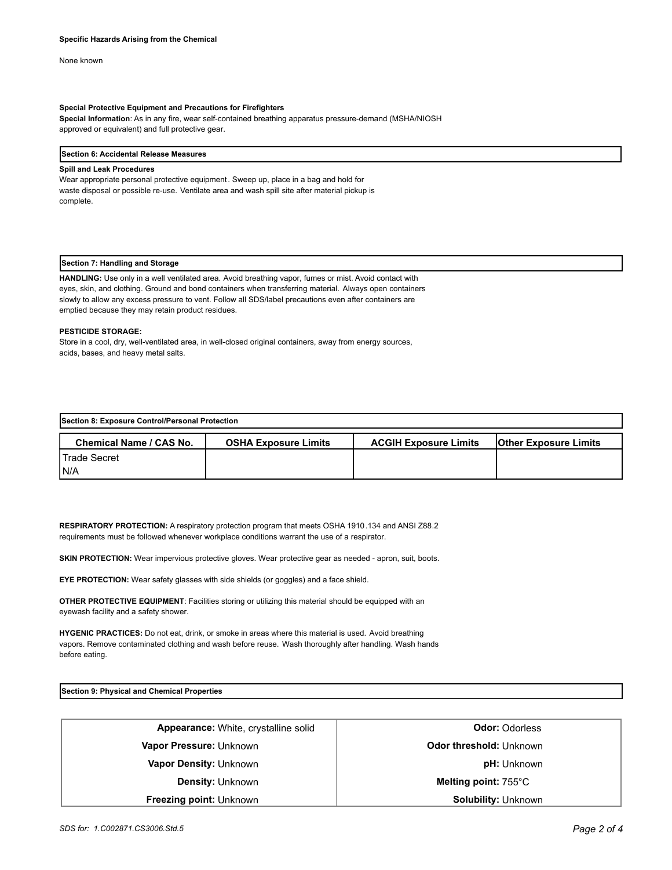None known

# **Special Protective Equipment and Precautions for Firefighters**

**Special Information**: As in any fire, wear self-contained breathing apparatus pressure-demand (MSHA/NIOSH approved or equivalent) and full protective gear.

### **Section 6: Accidental Release Measures**

# **Spill and Leak Procedures**

Wear appropriate personal protective equipment. Sweep up, place in a bag and hold for waste disposal or possible re-use. Ventilate area and wash spill site after material pickup is complete.

# **Section 7: Handling and Storage**

**HANDLING:** Use only in a well ventilated area. Avoid breathing vapor, fumes or mist. Avoid contact with eyes, skin, and clothing. Ground and bond containers when transferring material. Always open containers slowly to allow any excess pressure to vent. Follow all SDS/label precautions even after containers are emptied because they may retain product residues.

# **PESTICIDE STORAGE:**

Store in a cool, dry, well-ventilated area, in well-closed original containers, away from energy sources, acids, bases, and heavy metal salts.

| Section 8: Exposure Control/Personal Protection |                             |                              |                              |  |
|-------------------------------------------------|-----------------------------|------------------------------|------------------------------|--|
| <b>Chemical Name / CAS No.</b>                  | <b>OSHA Exposure Limits</b> | <b>ACGIH Exposure Limits</b> | <b>Other Exposure Limits</b> |  |
| l Trade Secret                                  |                             |                              |                              |  |
| IN/A                                            |                             |                              |                              |  |

**RESPIRATORY PROTECTION:** A respiratory protection program that meets OSHA 1910.134 and ANSI Z88.2 requirements must be followed whenever workplace conditions warrant the use of a respirator.

**SKIN PROTECTION:** Wear impervious protective gloves. Wear protective gear as needed - apron, suit, boots.

**EYE PROTECTION:** Wear safety glasses with side shields (or goggles) and a face shield.

**OTHER PROTECTIVE EQUIPMENT**: Facilities storing or utilizing this material should be equipped with an eyewash facility and a safety shower.

**HYGENIC PRACTICES:** Do not eat, drink, or smoke in areas where this material is used. Avoid breathing vapors. Remove contaminated clothing and wash before reuse. Wash thoroughly after handling. Wash hands before eating.

**Section 9: Physical and Chemical Properties**

| <b>Appearance:</b> White, crystalline solid | <b>Odor: Odorless</b>          |
|---------------------------------------------|--------------------------------|
| Vapor Pressure: Unknown                     | <b>Odor threshold: Unknown</b> |
| Vapor Density: Unknown                      | <b>pH:</b> Unknown             |
| <b>Density: Unknown</b>                     | Melting point: $755^{\circ}$ C |
| <b>Freezing point: Unknown</b>              | <b>Solubility: Unknown</b>     |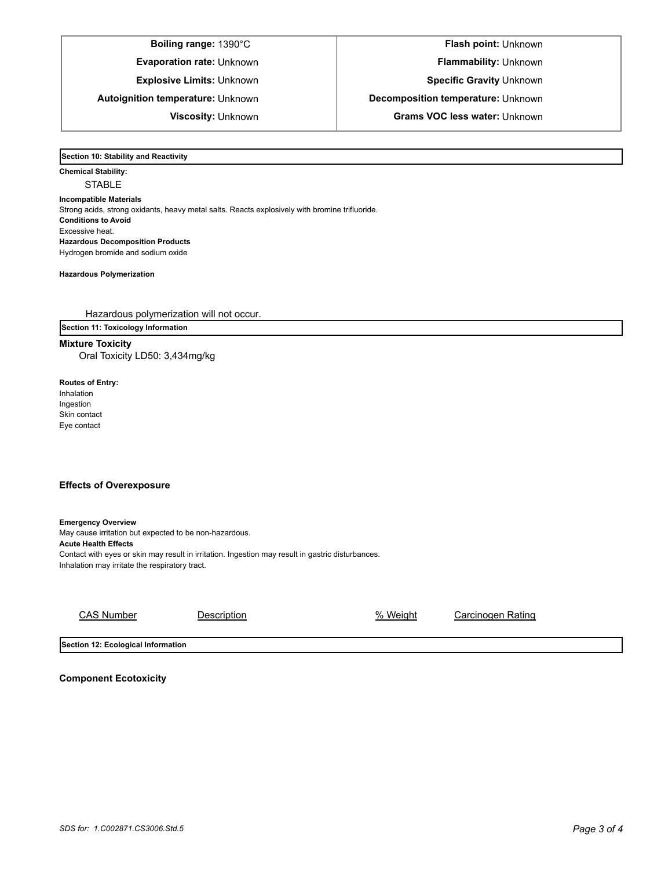**Evaporation rate:** Unknown **Flammability: Unknown** 

**Boiling range:** 1390°C **Flash point:** Unknown

**Explosive Limits:** Unknown **Specific Gravity** Unknown

**Autoignition temperature:** Unknown **Decomposition temperature:** Unknown

**Viscosity:** Unknown **Grams VOC less water:** Unknown

**Section 10: Stability and Reactivity** 

**Chemical Stability: STABLE Incompatible Materials**  Strong acids, strong oxidants, heavy metal salts. Reacts explosively with bromine trifluoride. **Conditions to Avoid** Excessive heat. **Hazardous Decomposition Products** Hydrogen bromide and sodium oxide

**Hazardous Polymerization**

Hazardous polymerization will not occur.

**Section 11: Toxicology Information**

**Mixture Toxicity** Oral Toxicity LD50: 3,434mg/kg

**Routes of Entry:** Inhalation Ingestion Skin contact Eye contact

# **Effects of Overexposure**

**Emergency Overview** May cause irritation but expected to be non-hazardous. **Acute Health Effects** Contact with eyes or skin may result in irritation. Ingestion may result in gastric disturbances. Inhalation may irritate the respiratory tract.

| CAS Number | Description | % Weight | Carcinogen Rating |
|------------|-------------|----------|-------------------|
|            |             |          |                   |

**Section 12: Ecological Information**

**Component Ecotoxicity**